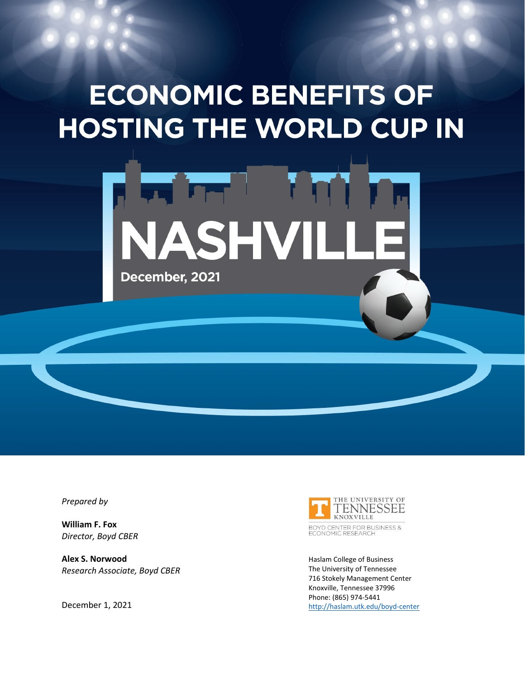# **ECONOMIC BENEFITS OF HOSTING THE WORLD CUP IN**



*Prepared by*

**William F. Fox** *Director, Boyd CBER*

**Alex S. Norwood** *Research Associate, Boyd CBER*





BOYD CENTER FOR BUSINESS &<br>ECONOMIC RESEARCH

Haslam College of Business The University of Tennessee 716 Stokely Management Center Knoxville, Tennessee 37996 Phone: (865) 974-5441 <http://haslam.utk.edu/boyd-center>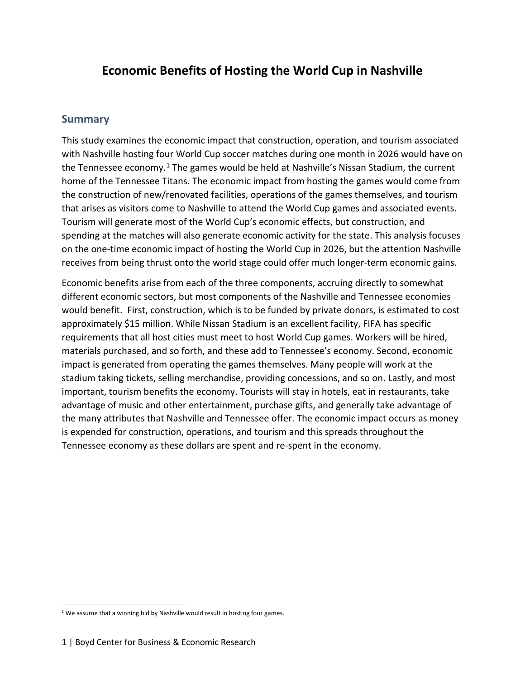# **Economic Benefits of Hosting the World Cup in Nashville**

### **Summary**

This study examines the economic impact that construction, operation, and tourism associated with Nashville hosting four World Cup soccer matches during one month in 2026 would have on the Tennessee economy.<sup>[1](#page-1-0)</sup> The games would be held at Nashville's Nissan Stadium, the current home of the Tennessee Titans. The economic impact from hosting the games would come from the construction of new/renovated facilities, operations of the games themselves, and tourism that arises as visitors come to Nashville to attend the World Cup games and associated events. Tourism will generate most of the World Cup's economic effects, but construction, and spending at the matches will also generate economic activity for the state. This analysis focuses on the one-time economic impact of hosting the World Cup in 2026, but the attention Nashville receives from being thrust onto the world stage could offer much longer-term economic gains.

Economic benefits arise from each of the three components, accruing directly to somewhat different economic sectors, but most components of the Nashville and Tennessee economies would benefit. First, construction, which is to be funded by private donors, is estimated to cost approximately \$15 million. While Nissan Stadium is an excellent facility, FIFA has specific requirements that all host cities must meet to host World Cup games. Workers will be hired, materials purchased, and so forth, and these add to Tennessee's economy. Second, economic impact is generated from operating the games themselves. Many people will work at the stadium taking tickets, selling merchandise, providing concessions, and so on. Lastly, and most important, tourism benefits the economy. Tourists will stay in hotels, eat in restaurants, take advantage of music and other entertainment, purchase gifts, and generally take advantage of the many attributes that Nashville and Tennessee offer. The economic impact occurs as money is expended for construction, operations, and tourism and this spreads throughout the Tennessee economy as these dollars are spent and re-spent in the economy.

<span id="page-1-0"></span><sup>&</sup>lt;sup>1</sup> We assume that a winning bid by Nashville would result in hosting four games.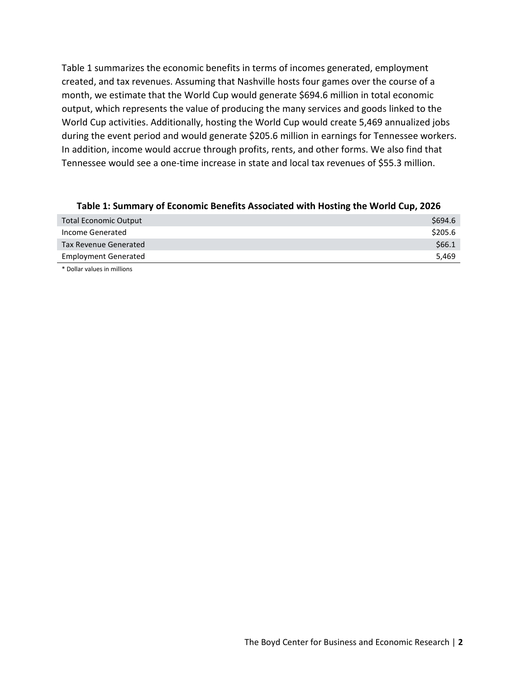Table 1 summarizes the economic benefits in terms of incomes generated, employment created, and tax revenues. Assuming that Nashville hosts four games over the course of a month, we estimate that the World Cup would generate \$694.6 million in total economic output, which represents the value of producing the many services and goods linked to the World Cup activities. Additionally, hosting the World Cup would create 5,469 annualized jobs during the event period and would generate \$205.6 million in earnings for Tennessee workers. In addition, income would accrue through profits, rents, and other forms. We also find that Tennessee would see a one-time increase in state and local tax revenues of \$55.3 million.

| Table 1. Summary of Economic Defients Associated with Hosting the World Cup, 2020 |         |  |
|-----------------------------------------------------------------------------------|---------|--|
| <b>Total Economic Output</b>                                                      | \$694.6 |  |
| Income Generated                                                                  | \$205.6 |  |
| <b>Tax Revenue Generated</b>                                                      | \$66.1  |  |
| <b>Employment Generated</b>                                                       | 5.469   |  |

#### **Table 1: Summary of Economic Benefits Associated with Hosting the World Cup, 2026**

\* Dollar values in millions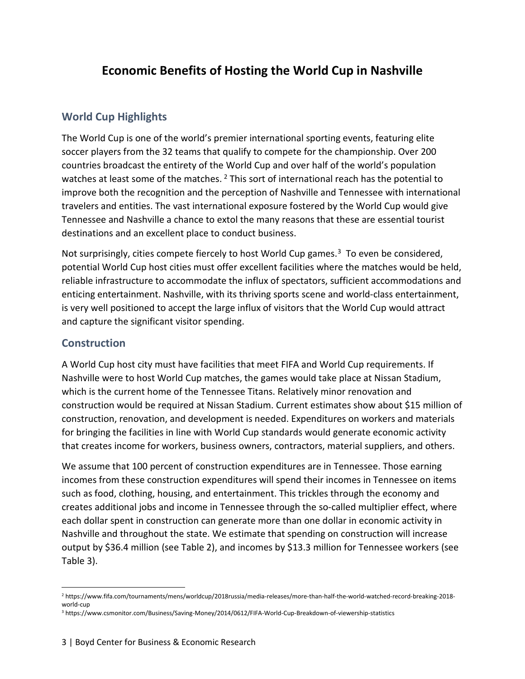# **Economic Benefits of Hosting the World Cup in Nashville**

# **World Cup Highlights**

The World Cup is one of the world's premier international sporting events, featuring elite soccer players from the 32 teams that qualify to compete for the championship. Over 200 countries broadcast the entirety of the World Cup and over half of the world's population watches at least some of the matches.  $2$  This sort of international reach has the potential to improve both the recognition and the perception of Nashville and Tennessee with international travelers and entities. The vast international exposure fostered by the World Cup would give Tennessee and Nashville a chance to extol the many reasons that these are essential tourist destinations and an excellent place to conduct business.

Not surprisingly, cities compete fiercely to host World Cup games.<sup>[3](#page-3-1)</sup> To even be considered, potential World Cup host cities must offer excellent facilities where the matches would be held, reliable infrastructure to accommodate the influx of spectators, sufficient accommodations and enticing entertainment. Nashville, with its thriving sports scene and world-class entertainment, is very well positioned to accept the large influx of visitors that the World Cup would attract and capture the significant visitor spending.

## **Construction**

A World Cup host city must have facilities that meet FIFA and World Cup requirements. If Nashville were to host World Cup matches, the games would take place at Nissan Stadium, which is the current home of the Tennessee Titans. Relatively minor renovation and construction would be required at Nissan Stadium. Current estimates show about \$15 million of construction, renovation, and development is needed. Expenditures on workers and materials for bringing the facilities in line with World Cup standards would generate economic activity that creates income for workers, business owners, contractors, material suppliers, and others.

We assume that 100 percent of construction expenditures are in Tennessee. Those earning incomes from these construction expenditures will spend their incomes in Tennessee on items such as food, clothing, housing, and entertainment. This trickles through the economy and creates additional jobs and income in Tennessee through the so-called multiplier effect, where each dollar spent in construction can generate more than one dollar in economic activity in Nashville and throughout the state. We estimate that spending on construction will increase output by \$36.4 million (see Table 2), and incomes by \$13.3 million for Tennessee workers (see Table 3).

<span id="page-3-0"></span> <sup>2</sup> https://www.fifa.com/tournaments/mens/worldcup/2018russia/media-releases/more-than-half-the-world-watched-record-breaking-2018 world-cup

<span id="page-3-1"></span><sup>3</sup> https://www.csmonitor.com/Business/Saving-Money/2014/0612/FIFA-World-Cup-Breakdown-of-viewership-statistics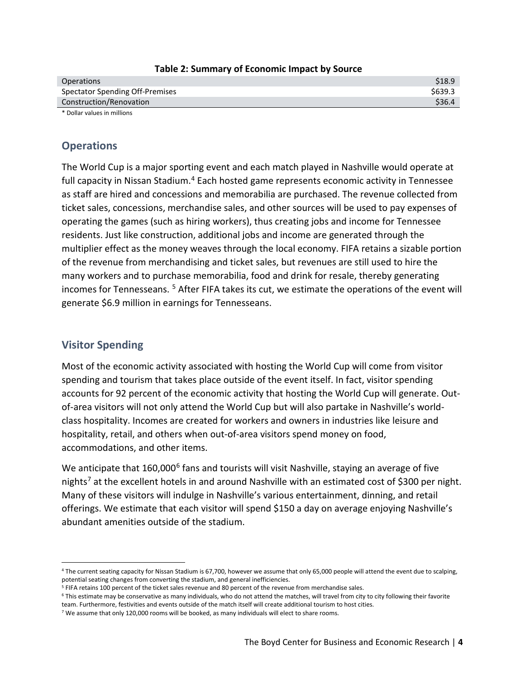| <b>Operations</b>               | \$18.9 |
|---------------------------------|--------|
| Spectator Spending Off-Premises | S639.3 |
| Construction/Renovation         | \$36.4 |
| * Dollar values in millions     |        |

#### **Table 2: Summary of Economic Impact by Source**

**Operations** 

The World Cup is a major sporting event and each match played in Nashville would operate at full capacity in Nissan Stadium.<sup>[4](#page-4-0)</sup> Each hosted game represents economic activity in Tennessee as staff are hired and concessions and memorabilia are purchased. The revenue collected from ticket sales, concessions, merchandise sales, and other sources will be used to pay expenses of operating the games (such as hiring workers), thus creating jobs and income for Tennessee residents. Just like construction, additional jobs and income are generated through the multiplier effect as the money weaves through the local economy. FIFA retains a sizable portion of the revenue from merchandising and ticket sales, but revenues are still used to hire the many workers and to purchase memorabilia, food and drink for resale, thereby generating incomes for Tennesseans. [5](#page-4-1) After FIFA takes its cut, we estimate the operations of the event will generate \$6.9 million in earnings for Tennesseans.

# **Visitor Spending**

Most of the economic activity associated with hosting the World Cup will come from visitor spending and tourism that takes place outside of the event itself. In fact, visitor spending accounts for 92 percent of the economic activity that hosting the World Cup will generate. Outof-area visitors will not only attend the World Cup but will also partake in Nashville's worldclass hospitality. Incomes are created for workers and owners in industries like leisure and hospitality, retail, and others when out-of-area visitors spend money on food, accommodations, and other items.

We anticipate that 1[6](#page-4-2)0,000<sup>6</sup> fans and tourists will visit Nashville, staying an average of five nights<sup>[7](#page-4-3)</sup> at the excellent hotels in and around Nashville with an estimated cost of \$300 per night. Many of these visitors will indulge in Nashville's various entertainment, dinning, and retail offerings. We estimate that each visitor will spend \$150 a day on average enjoying Nashville's abundant amenities outside of the stadium.

<span id="page-4-0"></span> <sup>4</sup> The current seating capacity for Nissan Stadium is 67,700, however we assume that only 65,000 people will attend the event due to scalping, potential seating changes from converting the stadium, and general inefficiencies.<br><sup>5</sup> FIFA retains 100 percent of the ticket sales revenue and 80 percent of the revenue from merchandise sales.

<span id="page-4-1"></span>

<span id="page-4-2"></span><sup>6</sup> This estimate may be conservative as many individuals, who do not attend the matches, will travel from city to city following their favorite team. Furthermore, festivities and events outside of the match itself will create additional tourism to host cities.

<span id="page-4-3"></span><sup>7</sup> We assume that only 120,000 rooms will be booked, as many individuals will elect to share rooms.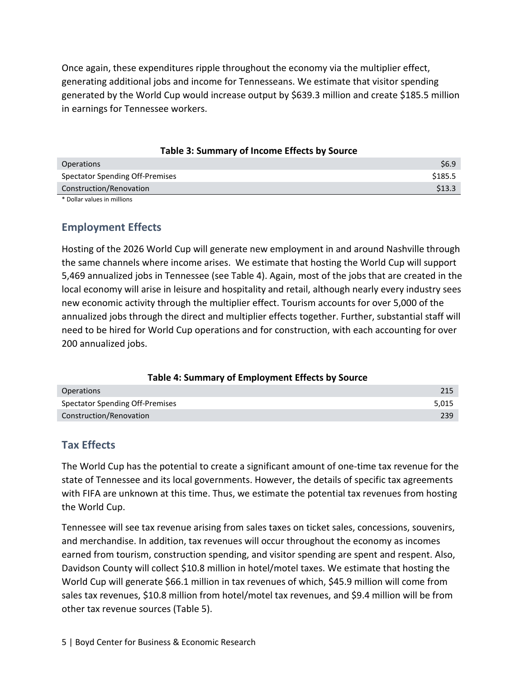Once again, these expenditures ripple throughout the economy via the multiplier effect, generating additional jobs and income for Tennesseans. We estimate that visitor spending generated by the World Cup would increase output by \$639.3 million and create \$185.5 million in earnings for Tennessee workers.

| Table 3: Summary of Income Effects by Source |  |  |  |
|----------------------------------------------|--|--|--|
|----------------------------------------------|--|--|--|

| Operations                      | \$6.9   |
|---------------------------------|---------|
| Spectator Spending Off-Premises | \$185.5 |
| Construction/Renovation         | \$13.3  |
|                                 |         |

\* Dollar values in millions

## **Employment Effects**

Hosting of the 2026 World Cup will generate new employment in and around Nashville through the same channels where income arises. We estimate that hosting the World Cup will support 5,469 annualized jobs in Tennessee (see Table 4). Again, most of the jobs that are created in the local economy will arise in leisure and hospitality and retail, although nearly every industry sees new economic activity through the multiplier effect. Tourism accounts for over 5,000 of the annualized jobs through the direct and multiplier effects together. Further, substantial staff will need to be hired for World Cup operations and for construction, with each accounting for over 200 annualized jobs.

#### **Table 4: Summary of Employment Effects by Source**

| <b>Operations</b>               | 215   |
|---------------------------------|-------|
| Spectator Spending Off-Premises | 5,015 |
| Construction/Renovation         | 239   |

## **Tax Effects**

The World Cup has the potential to create a significant amount of one-time tax revenue for the state of Tennessee and its local governments. However, the details of specific tax agreements with FIFA are unknown at this time. Thus, we estimate the potential tax revenues from hosting the World Cup.

Tennessee will see tax revenue arising from sales taxes on ticket sales, concessions, souvenirs, and merchandise. In addition, tax revenues will occur throughout the economy as incomes earned from tourism, construction spending, and visitor spending are spent and respent. Also, Davidson County will collect \$10.8 million in hotel/motel taxes. We estimate that hosting the World Cup will generate \$66.1 million in tax revenues of which, \$45.9 million will come from sales tax revenues, \$10.8 million from hotel/motel tax revenues, and \$9.4 million will be from other tax revenue sources (Table 5).